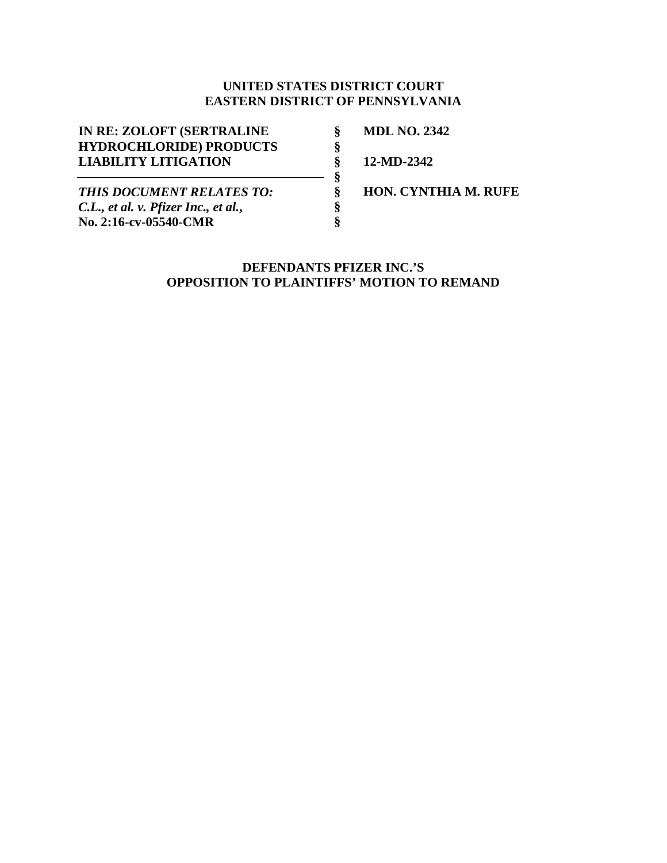## **UNITED STATES DISTRICT COURT EASTERN DISTRICT OF PENNSYLVANIA**

| IN RE: ZOLOFT (SERTRALINE            |  |
|--------------------------------------|--|
| <b>HYDROCHLORIDE) PRODUCTS</b>       |  |
| <b>LIABILITY LITIGATION</b>          |  |
|                                      |  |
| <b>THIS DOCUMENT RELATES TO:</b>     |  |
| C.L., et al. v. Pfizer Inc., et al., |  |
| No. 2:16-cv-05540-CMR                |  |

**MDL NO. 2342** 

**12-MD-2342** 

**HON. CYNTHIA M. RUFE** 

## **DEFENDANTS PFIZER INC.'S OPPOSITION TO PLAINTIFFS' MOTION TO REMAND**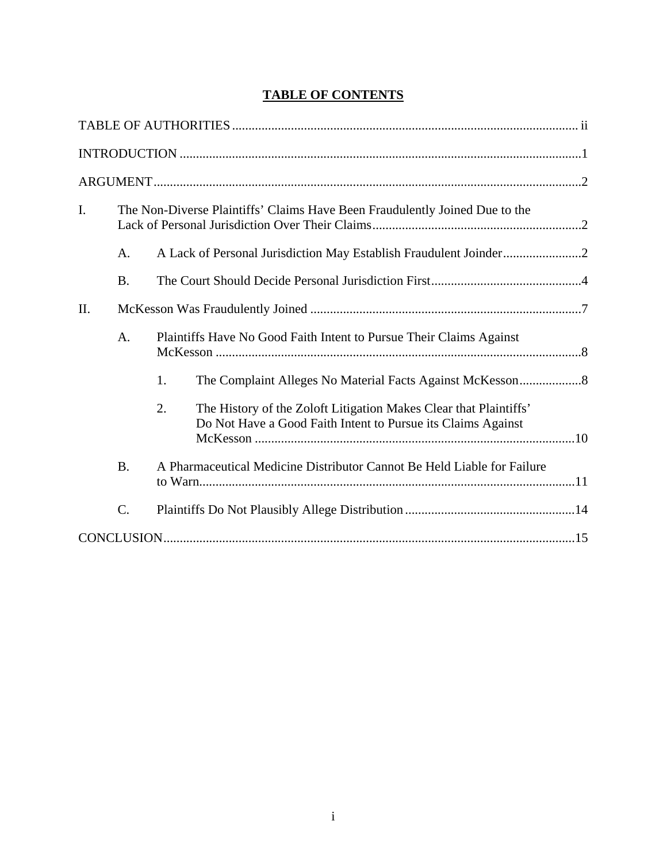# **TABLE OF CONTENTS**

| I.  |                 | The Non-Diverse Plaintiffs' Claims Have Been Fraudulently Joined Due to the                                                             |
|-----|-----------------|-----------------------------------------------------------------------------------------------------------------------------------------|
|     | A.              |                                                                                                                                         |
|     | <b>B.</b>       |                                                                                                                                         |
| II. |                 |                                                                                                                                         |
|     | A.              | Plaintiffs Have No Good Faith Intent to Pursue Their Claims Against                                                                     |
|     |                 | 1.                                                                                                                                      |
|     |                 | 2.<br>The History of the Zoloft Litigation Makes Clear that Plaintiffs'<br>Do Not Have a Good Faith Intent to Pursue its Claims Against |
|     | <b>B.</b>       | A Pharmaceutical Medicine Distributor Cannot Be Held Liable for Failure                                                                 |
|     | $\mathcal{C}$ . |                                                                                                                                         |
|     |                 |                                                                                                                                         |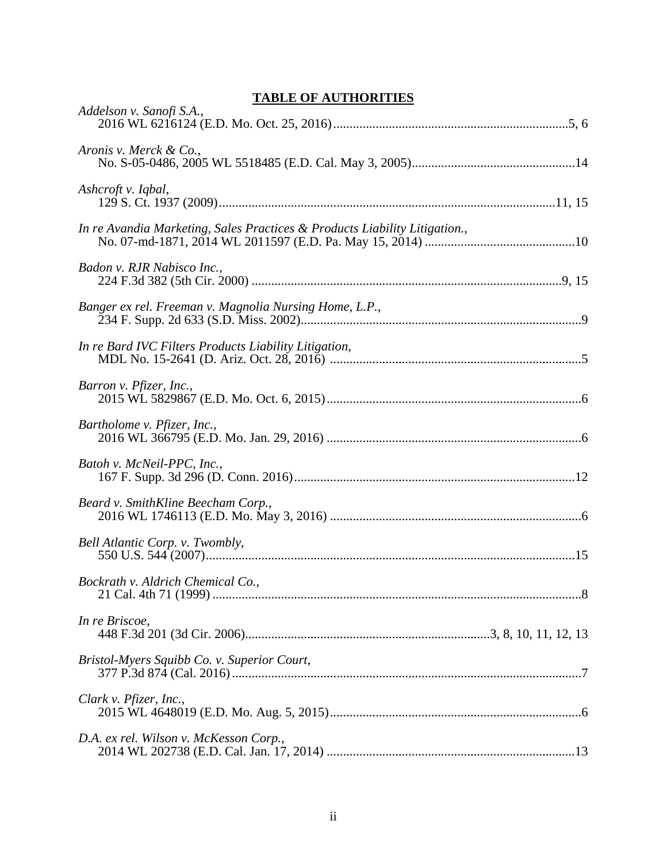## **TABLE OF AUTHORITIES**

| <u>IADLE OF AUTHUNITIES</u>                                                |
|----------------------------------------------------------------------------|
| Addelson v. Sanofi S.A.,                                                   |
| Aronis v. Merck & Co.,                                                     |
| Ashcroft v. Iqbal,                                                         |
| In re Avandia Marketing, Sales Practices & Products Liability Litigation., |
| Badon v. RJR Nabisco Inc.,                                                 |
| Banger ex rel. Freeman v. Magnolia Nursing Home, L.P.,                     |
| In re Bard IVC Filters Products Liability Litigation,                      |
| Barron v. Pfizer, Inc.,                                                    |
| Bartholome v. Pfizer, Inc.,                                                |
| Batoh v. McNeil-PPC, Inc.,                                                 |
| Beard v. SmithKline Beecham Corp.,                                         |
| Bell Atlantic Corp. v. Twombly,                                            |
| Bockrath v. Aldrich Chemical Co.,                                          |
| In re Briscoe,                                                             |
| Bristol-Myers Squibb Co. v. Superior Court,                                |
| Clark v. Pfizer, Inc.,                                                     |
| D.A. ex rel. Wilson v. McKesson Corp.,                                     |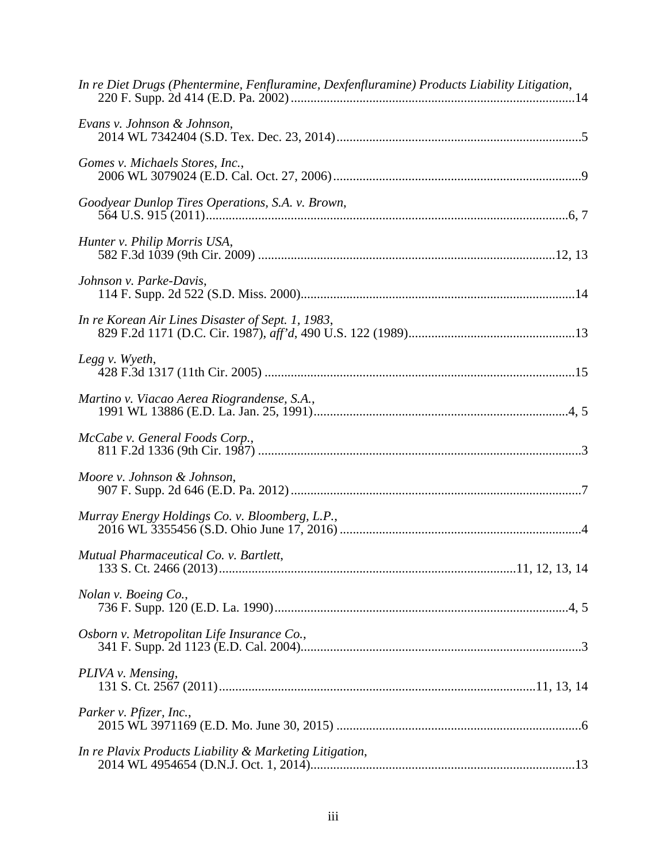| In re Diet Drugs (Phentermine, Fenfluramine, Dexfenfluramine) Products Liability Litigation, |
|----------------------------------------------------------------------------------------------|
| Evans v. Johnson & Johnson,                                                                  |
| Gomes v. Michaels Stores, Inc.,                                                              |
| Goodyear Dunlop Tires Operations, S.A. v. Brown,                                             |
| Hunter v. Philip Morris USA,                                                                 |
| Johnson v. Parke-Davis,                                                                      |
| In re Korean Air Lines Disaster of Sept. 1, 1983,                                            |
| Legg v. Wyeth,                                                                               |
| Martino v. Viacao Aerea Riograndense, S.A.,                                                  |
| McCabe v. General Foods Corp.,                                                               |
| Moore v. Johnson & Johnson,                                                                  |
|                                                                                              |
| Mutual Pharmaceutical Co. v. Bartlett,                                                       |
| Nolan v. Boeing Co.,                                                                         |
| Osborn v. Metropolitan Life Insurance Co.,                                                   |
| PLIVA v. Mensing,                                                                            |
| Parker v. Pfizer, Inc.,                                                                      |
| In re Plavix Products Liability & Marketing Litigation,                                      |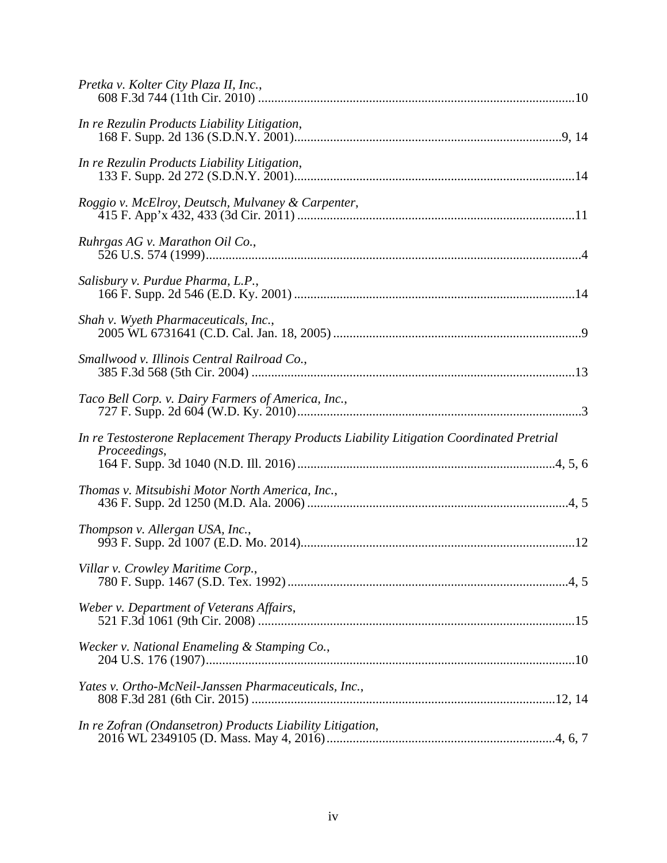| In re Rezulin Products Liability Litigation,                                                              |
|-----------------------------------------------------------------------------------------------------------|
| In re Rezulin Products Liability Litigation,                                                              |
| Roggio v. McElroy, Deutsch, Mulvaney & Carpenter,                                                         |
| Ruhrgas AG v. Marathon Oil Co.,                                                                           |
| Salisbury v. Purdue Pharma, L.P.,                                                                         |
| Shah v. Wyeth Pharmaceuticals, Inc.,                                                                      |
| Smallwood v. Illinois Central Railroad Co.,                                                               |
|                                                                                                           |
| In re Testosterone Replacement Therapy Products Liability Litigation Coordinated Pretrial<br>Proceedings, |
| Thomas v. Mitsubishi Motor North America, Inc.,                                                           |
| Thompson v. Allergan USA, Inc.,                                                                           |
| Villar v. Crowley Maritime Corp.,                                                                         |
| Weber v. Department of Veterans Affairs,                                                                  |
| Wecker v. National Enameling & Stamping Co.,                                                              |
| Yates v. Ortho-McNeil-Janssen Pharmaceuticals, Inc.,                                                      |
| In re Zofran (Ondansetron) Products Liability Litigation,                                                 |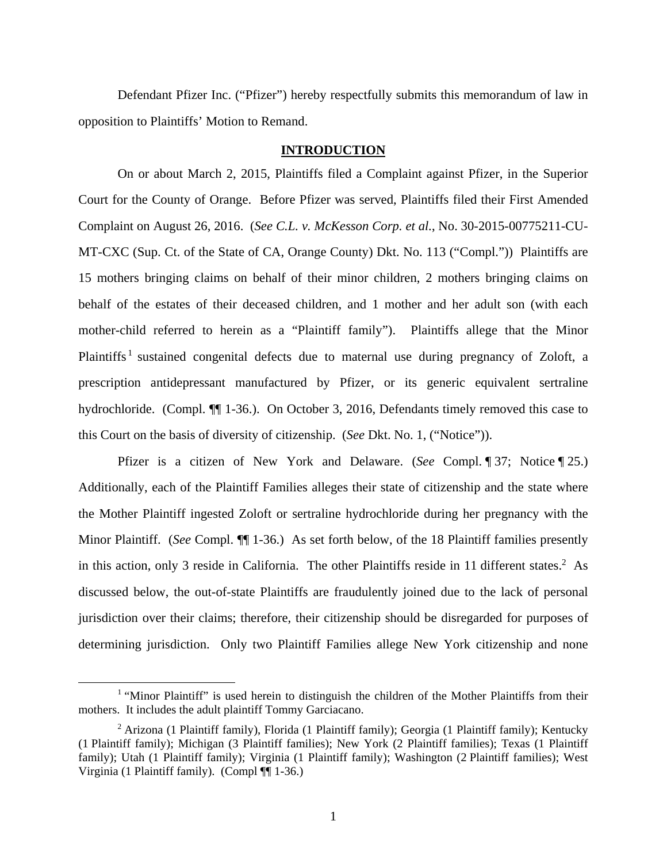Defendant Pfizer Inc. ("Pfizer") hereby respectfully submits this memorandum of law in opposition to Plaintiffs' Motion to Remand.

#### **INTRODUCTION**

On or about March 2, 2015, Plaintiffs filed a Complaint against Pfizer, in the Superior Court for the County of Orange. Before Pfizer was served, Plaintiffs filed their First Amended Complaint on August 26, 2016. (*See C.L. v. McKesson Corp. et al.*, No. 30-2015-00775211-CU-MT-CXC (Sup. Ct. of the State of CA, Orange County) Dkt. No. 113 ("Compl.")) Plaintiffs are 15 mothers bringing claims on behalf of their minor children, 2 mothers bringing claims on behalf of the estates of their deceased children, and 1 mother and her adult son (with each mother-child referred to herein as a "Plaintiff family"). Plaintiffs allege that the Minor Plaintiffs<sup>1</sup> sustained congenital defects due to maternal use during pregnancy of Zoloft, a prescription antidepressant manufactured by Pfizer, or its generic equivalent sertraline hydrochloride. (Compl. ¶ 1-36.). On October 3, 2016, Defendants timely removed this case to this Court on the basis of diversity of citizenship. (*See* Dkt. No. 1, ("Notice")).

Pfizer is a citizen of New York and Delaware. (*See* Compl. ¶ 37; Notice ¶ 25.) Additionally, each of the Plaintiff Families alleges their state of citizenship and the state where the Mother Plaintiff ingested Zoloft or sertraline hydrochloride during her pregnancy with the Minor Plaintiff. (*See* Compl. ¶¶ 1-36.) As set forth below, of the 18 Plaintiff families presently in this action, only 3 reside in California. The other Plaintiffs reside in 11 different states.<sup>2</sup> As discussed below, the out-of-state Plaintiffs are fraudulently joined due to the lack of personal jurisdiction over their claims; therefore, their citizenship should be disregarded for purposes of determining jurisdiction. Only two Plaintiff Families allege New York citizenship and none

 $\begin{array}{c|c}\n\hline\n\text{1}\n\end{array}$ <sup>1</sup> "Minor Plaintiff" is used herein to distinguish the children of the Mother Plaintiffs from their mothers. It includes the adult plaintiff Tommy Garciacano.

<sup>&</sup>lt;sup>2</sup> Arizona (1 Plaintiff family), Florida (1 Plaintiff family); Georgia (1 Plaintiff family); Kentucky (1 Plaintiff family); Michigan (3 Plaintiff families); New York (2 Plaintiff families); Texas (1 Plaintiff family); Utah (1 Plaintiff family); Virginia (1 Plaintiff family); Washington (2 Plaintiff families); West Virginia (1 Plaintiff family). (Compl ¶¶ 1-36.)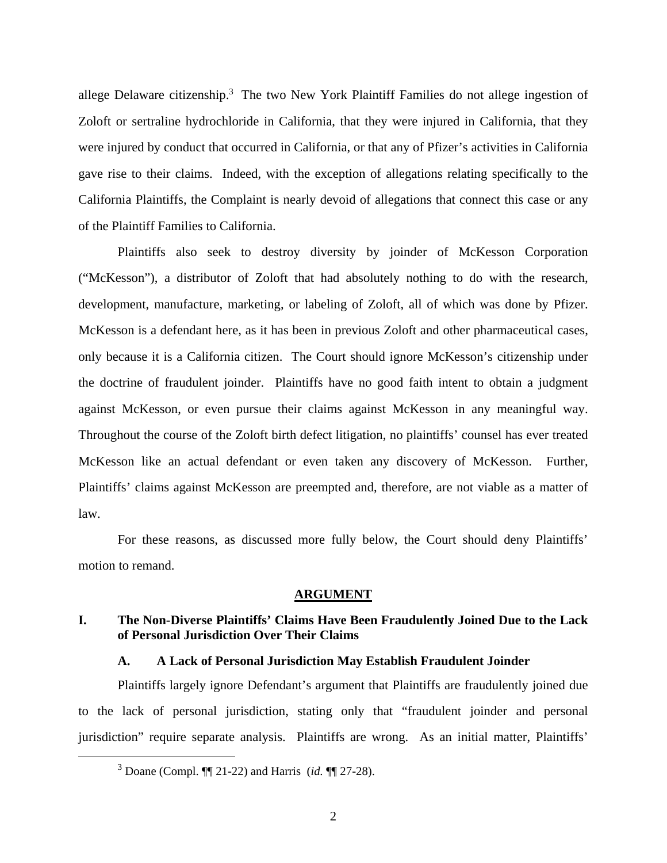allege Delaware citizenship.<sup>3</sup> The two New York Plaintiff Families do not allege ingestion of Zoloft or sertraline hydrochloride in California, that they were injured in California, that they were injured by conduct that occurred in California, or that any of Pfizer's activities in California gave rise to their claims. Indeed, with the exception of allegations relating specifically to the California Plaintiffs, the Complaint is nearly devoid of allegations that connect this case or any of the Plaintiff Families to California.

Plaintiffs also seek to destroy diversity by joinder of McKesson Corporation ("McKesson"), a distributor of Zoloft that had absolutely nothing to do with the research, development, manufacture, marketing, or labeling of Zoloft, all of which was done by Pfizer. McKesson is a defendant here, as it has been in previous Zoloft and other pharmaceutical cases, only because it is a California citizen. The Court should ignore McKesson's citizenship under the doctrine of fraudulent joinder. Plaintiffs have no good faith intent to obtain a judgment against McKesson, or even pursue their claims against McKesson in any meaningful way. Throughout the course of the Zoloft birth defect litigation, no plaintiffs' counsel has ever treated McKesson like an actual defendant or even taken any discovery of McKesson. Further, Plaintiffs' claims against McKesson are preempted and, therefore, are not viable as a matter of law.

For these reasons, as discussed more fully below, the Court should deny Plaintiffs' motion to remand.

#### **ARGUMENT**

## **I. The Non-Diverse Plaintiffs' Claims Have Been Fraudulently Joined Due to the Lack of Personal Jurisdiction Over Their Claims**

#### **A. A Lack of Personal Jurisdiction May Establish Fraudulent Joinder**

Plaintiffs largely ignore Defendant's argument that Plaintiffs are fraudulently joined due to the lack of personal jurisdiction, stating only that "fraudulent joinder and personal jurisdiction" require separate analysis. Plaintiffs are wrong. As an initial matter, Plaintiffs'

 $\frac{1}{3}$ Doane (Compl. ¶¶ 21-22) and Harris (*id.* ¶¶ 27-28).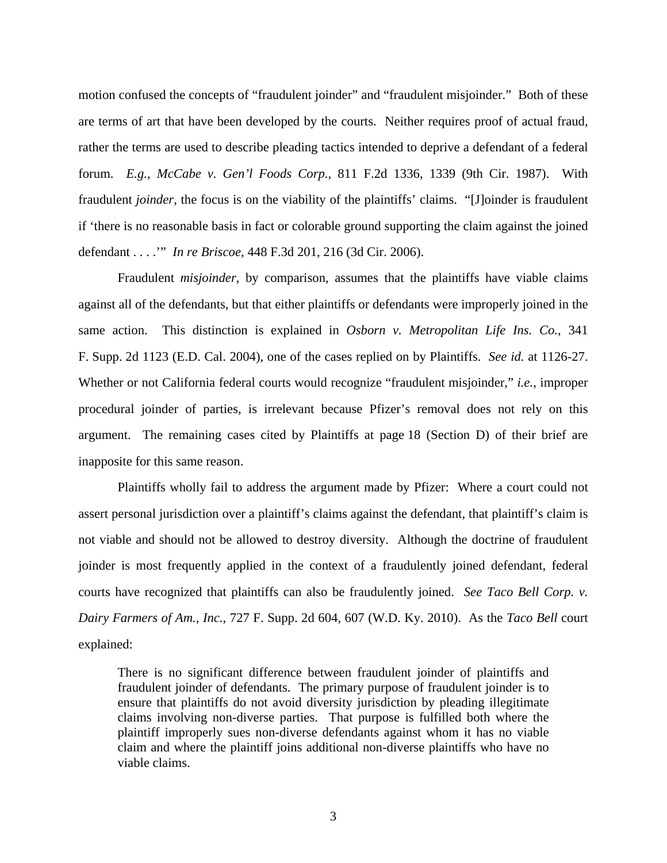motion confused the concepts of "fraudulent joinder" and "fraudulent misjoinder." Both of these are terms of art that have been developed by the courts. Neither requires proof of actual fraud, rather the terms are used to describe pleading tactics intended to deprive a defendant of a federal forum. *E.g.*, *McCabe v. Gen'l Foods Corp.*, 811 F.2d 1336, 1339 (9th Cir. 1987). With fraudulent *joinder*, the focus is on the viability of the plaintiffs' claims. "[J]oinder is fraudulent if 'there is no reasonable basis in fact or colorable ground supporting the claim against the joined defendant . . . .'" *In re Briscoe*, 448 F.3d 201, 216 (3d Cir. 2006).

Fraudulent *misjoinder*, by comparison, assumes that the plaintiffs have viable claims against all of the defendants, but that either plaintiffs or defendants were improperly joined in the same action. This distinction is explained in *Osborn v. Metropolitan Life Ins. Co.*, 341 F. Supp. 2d 1123 (E.D. Cal. 2004), one of the cases replied on by Plaintiffs. *See id.* at 1126-27. Whether or not California federal courts would recognize "fraudulent misjoinder," *i.e.*, improper procedural joinder of parties, is irrelevant because Pfizer's removal does not rely on this argument. The remaining cases cited by Plaintiffs at page 18 (Section D) of their brief are inapposite for this same reason.

Plaintiffs wholly fail to address the argument made by Pfizer: Where a court could not assert personal jurisdiction over a plaintiff's claims against the defendant, that plaintiff's claim is not viable and should not be allowed to destroy diversity. Although the doctrine of fraudulent joinder is most frequently applied in the context of a fraudulently joined defendant, federal courts have recognized that plaintiffs can also be fraudulently joined. *See Taco Bell Corp. v. Dairy Farmers of Am., Inc.*, 727 F. Supp. 2d 604, 607 (W.D. Ky. 2010). As the *Taco Bell* court explained:

There is no significant difference between fraudulent joinder of plaintiffs and fraudulent joinder of defendants. The primary purpose of fraudulent joinder is to ensure that plaintiffs do not avoid diversity jurisdiction by pleading illegitimate claims involving non-diverse parties. That purpose is fulfilled both where the plaintiff improperly sues non-diverse defendants against whom it has no viable claim and where the plaintiff joins additional non-diverse plaintiffs who have no viable claims.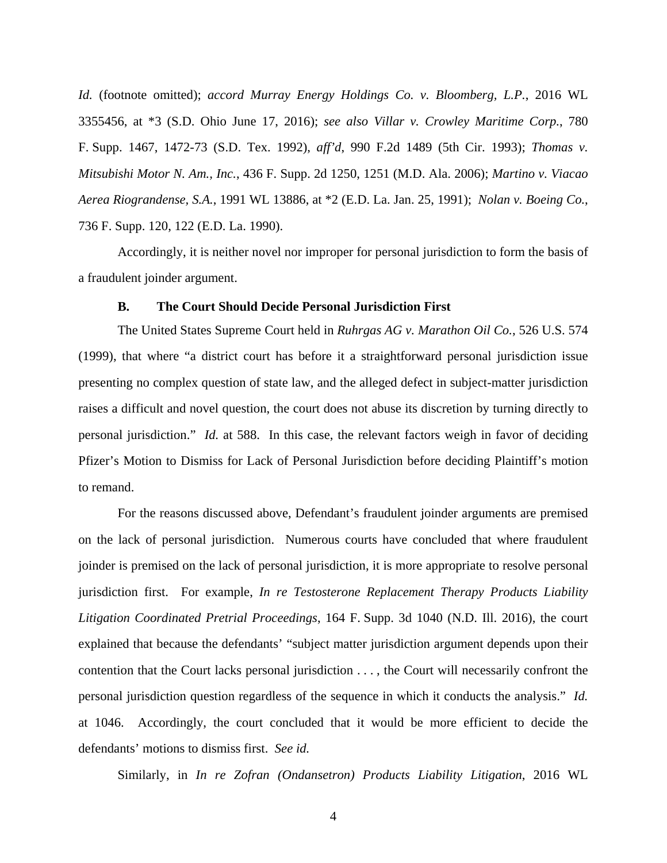*Id.* (footnote omitted); *accord Murray Energy Holdings Co. v. Bloomberg, L.P.*, 2016 WL 3355456, at \*3 (S.D. Ohio June 17, 2016); *see also Villar v. Crowley Maritime Corp.*, 780 F. Supp. 1467, 1472-73 (S.D. Tex. 1992), *aff'd*, 990 F.2d 1489 (5th Cir. 1993); *Thomas v. Mitsubishi Motor N. Am., Inc.*, 436 F. Supp. 2d 1250, 1251 (M.D. Ala. 2006); *Martino v. Viacao Aerea Riograndense, S.A.*, 1991 WL 13886, at \*2 (E.D. La. Jan. 25, 1991); *Nolan v. Boeing Co.*, 736 F. Supp. 120, 122 (E.D. La. 1990).

Accordingly, it is neither novel nor improper for personal jurisdiction to form the basis of a fraudulent joinder argument.

#### **B. The Court Should Decide Personal Jurisdiction First**

The United States Supreme Court held in *Ruhrgas AG v. Marathon Oil Co.*, 526 U.S. 574 (1999), that where "a district court has before it a straightforward personal jurisdiction issue presenting no complex question of state law, and the alleged defect in subject-matter jurisdiction raises a difficult and novel question, the court does not abuse its discretion by turning directly to personal jurisdiction." *Id.* at 588. In this case, the relevant factors weigh in favor of deciding Pfizer's Motion to Dismiss for Lack of Personal Jurisdiction before deciding Plaintiff's motion to remand.

For the reasons discussed above, Defendant's fraudulent joinder arguments are premised on the lack of personal jurisdiction. Numerous courts have concluded that where fraudulent joinder is premised on the lack of personal jurisdiction, it is more appropriate to resolve personal jurisdiction first. For example, *In re Testosterone Replacement Therapy Products Liability Litigation Coordinated Pretrial Proceedings*, 164 F. Supp. 3d 1040 (N.D. Ill. 2016), the court explained that because the defendants' "subject matter jurisdiction argument depends upon their contention that the Court lacks personal jurisdiction . . . , the Court will necessarily confront the personal jurisdiction question regardless of the sequence in which it conducts the analysis." *Id.* at 1046. Accordingly, the court concluded that it would be more efficient to decide the defendants' motions to dismiss first. *See id.*

Similarly, in *In re Zofran (Ondansetron) Products Liability Litigation*, 2016 WL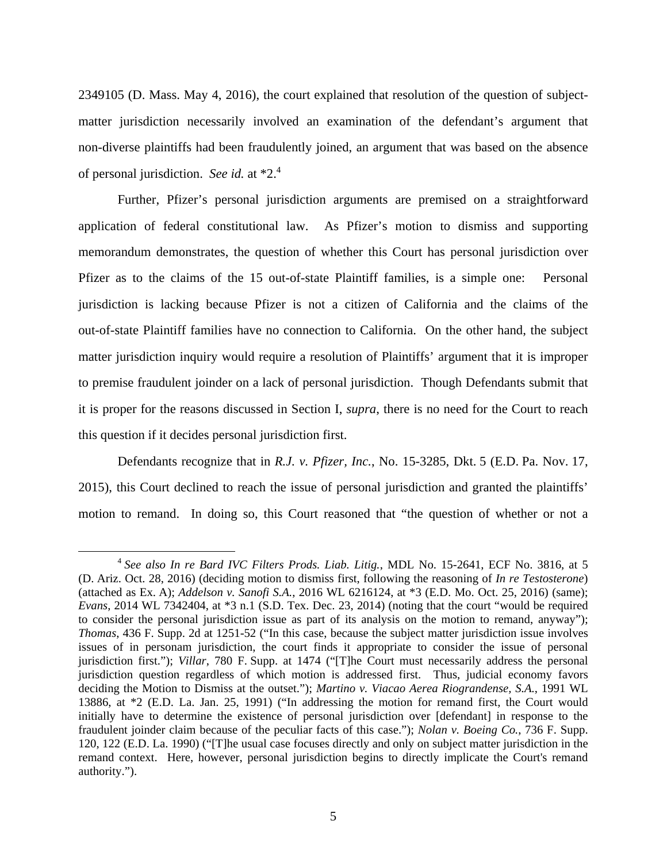2349105 (D. Mass. May 4, 2016), the court explained that resolution of the question of subjectmatter jurisdiction necessarily involved an examination of the defendant's argument that non-diverse plaintiffs had been fraudulently joined, an argument that was based on the absence of personal jurisdiction. *See id.* at \*2.4

Further, Pfizer's personal jurisdiction arguments are premised on a straightforward application of federal constitutional law. As Pfizer's motion to dismiss and supporting memorandum demonstrates, the question of whether this Court has personal jurisdiction over Pfizer as to the claims of the 15 out-of-state Plaintiff families, is a simple one: Personal jurisdiction is lacking because Pfizer is not a citizen of California and the claims of the out-of-state Plaintiff families have no connection to California. On the other hand, the subject matter jurisdiction inquiry would require a resolution of Plaintiffs' argument that it is improper to premise fraudulent joinder on a lack of personal jurisdiction. Though Defendants submit that it is proper for the reasons discussed in Section I, *supra*, there is no need for the Court to reach this question if it decides personal jurisdiction first.

Defendants recognize that in *R.J. v. Pfizer, Inc.*, No. 15-3285, Dkt. 5 (E.D. Pa. Nov. 17, 2015), this Court declined to reach the issue of personal jurisdiction and granted the plaintiffs' motion to remand. In doing so, this Court reasoned that "the question of whether or not a

 <sup>4</sup> *See also In re Bard IVC Filters Prods. Liab. Litig.*, MDL No. 15-2641, ECF No. 3816, at 5 (D. Ariz. Oct. 28, 2016) (deciding motion to dismiss first, following the reasoning of *In re Testosterone*) (attached as Ex. A); *Addelson v. Sanofi S.A.*, 2016 WL 6216124, at \*3 (E.D. Mo. Oct. 25, 2016) (same); *Evans*, 2014 WL 7342404, at \*3 n.1 (S.D. Tex. Dec. 23, 2014) (noting that the court "would be required to consider the personal jurisdiction issue as part of its analysis on the motion to remand, anyway"); *Thomas*, 436 F. Supp. 2d at 1251-52 ("In this case, because the subject matter jurisdiction issue involves issues of in personam jurisdiction, the court finds it appropriate to consider the issue of personal jurisdiction first."); *Villar*, 780 F. Supp. at 1474 ("[T]he Court must necessarily address the personal jurisdiction question regardless of which motion is addressed first. Thus, judicial economy favors deciding the Motion to Dismiss at the outset."); *Martino v. Viacao Aerea Riograndense, S.A.*, 1991 WL 13886, at \*2 (E.D. La. Jan. 25, 1991) ("In addressing the motion for remand first, the Court would initially have to determine the existence of personal jurisdiction over [defendant] in response to the fraudulent joinder claim because of the peculiar facts of this case."); *Nolan v. Boeing Co.*, 736 F. Supp. 120, 122 (E.D. La. 1990) ("[T]he usual case focuses directly and only on subject matter jurisdiction in the remand context. Here, however, personal jurisdiction begins to directly implicate the Court's remand authority.").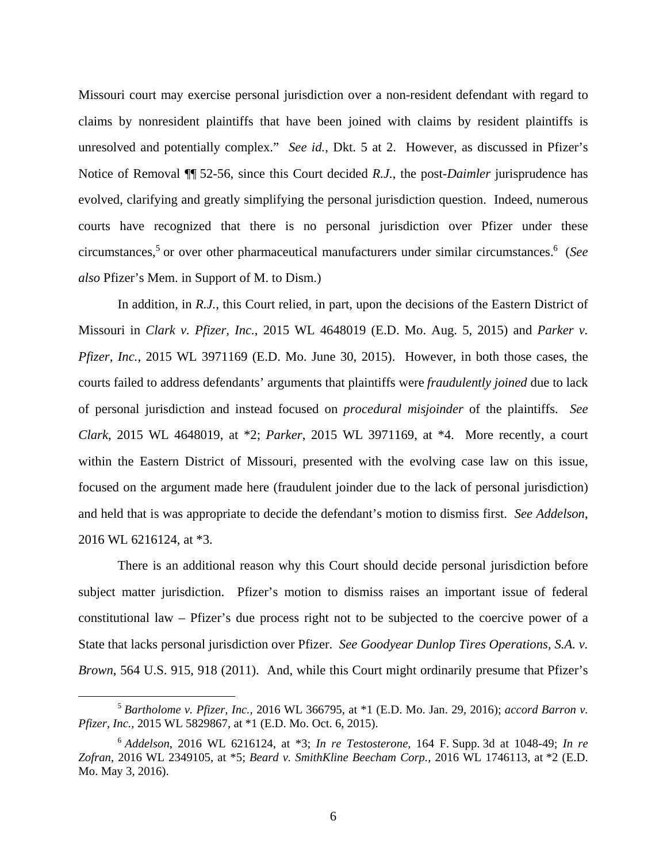Missouri court may exercise personal jurisdiction over a non-resident defendant with regard to claims by nonresident plaintiffs that have been joined with claims by resident plaintiffs is unresolved and potentially complex." *See id.*, Dkt. 5 at 2. However, as discussed in Pfizer's Notice of Removal ¶¶ 52-56, since this Court decided *R.J.*, the post-*Daimler* jurisprudence has evolved, clarifying and greatly simplifying the personal jurisdiction question. Indeed, numerous courts have recognized that there is no personal jurisdiction over Pfizer under these circumstances,5 or over other pharmaceutical manufacturers under similar circumstances.6 (*See also* Pfizer's Mem. in Support of M. to Dism.)

In addition, in *R.J.*, this Court relied, in part, upon the decisions of the Eastern District of Missouri in *Clark v. Pfizer, Inc.*, 2015 WL 4648019 (E.D. Mo. Aug. 5, 2015) and *Parker v. Pfizer, Inc.*, 2015 WL 3971169 (E.D. Mo. June 30, 2015). However, in both those cases, the courts failed to address defendants' arguments that plaintiffs were *fraudulently joined* due to lack of personal jurisdiction and instead focused on *procedural misjoinder* of the plaintiffs. *See Clark*, 2015 WL 4648019, at \*2; *Parker*, 2015 WL 3971169, at \*4. More recently, a court within the Eastern District of Missouri, presented with the evolving case law on this issue, focused on the argument made here (fraudulent joinder due to the lack of personal jurisdiction) and held that is was appropriate to decide the defendant's motion to dismiss first. *See Addelson*, 2016 WL 6216124, at \*3.

There is an additional reason why this Court should decide personal jurisdiction before subject matter jurisdiction. Pfizer's motion to dismiss raises an important issue of federal constitutional law – Pfizer's due process right not to be subjected to the coercive power of a State that lacks personal jurisdiction over Pfizer. *See Goodyear Dunlop Tires Operations, S.A. v. Brown*, 564 U.S. 915, 918 (2011). And, while this Court might ordinarily presume that Pfizer's

 <sup>5</sup> *Bartholome v. Pfizer, Inc.*, 2016 WL 366795, at \*1 (E.D. Mo. Jan. 29, 2016); *accord Barron v. Pfizer, Inc.*, 2015 WL 5829867, at \*1 (E.D. Mo. Oct. 6, 2015).

<sup>6</sup> *Addelson*, 2016 WL 6216124, at \*3; *In re Testosterone*, 164 F. Supp. 3d at 1048-49; *In re Zofran*, 2016 WL 2349105, at \*5; *Beard v. SmithKline Beecham Corp.,* 2016 WL 1746113, at \*2 (E.D. Mo. May 3, 2016).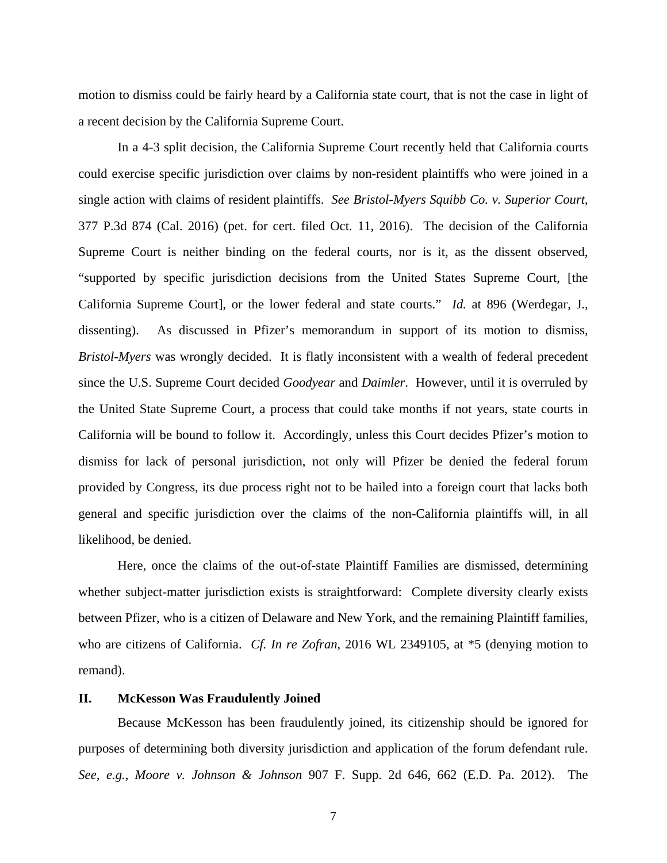motion to dismiss could be fairly heard by a California state court, that is not the case in light of a recent decision by the California Supreme Court.

In a 4-3 split decision, the California Supreme Court recently held that California courts could exercise specific jurisdiction over claims by non-resident plaintiffs who were joined in a single action with claims of resident plaintiffs. *See Bristol-Myers Squibb Co. v. Superior Court*, 377 P.3d 874 (Cal. 2016) (pet. for cert. filed Oct. 11, 2016). The decision of the California Supreme Court is neither binding on the federal courts, nor is it, as the dissent observed, "supported by specific jurisdiction decisions from the United States Supreme Court, [the California Supreme Court], or the lower federal and state courts." *Id.* at 896 (Werdegar, J., dissenting). As discussed in Pfizer's memorandum in support of its motion to dismiss, *Bristol-Myers* was wrongly decided. It is flatly inconsistent with a wealth of federal precedent since the U.S. Supreme Court decided *Goodyear* and *Daimler*. However, until it is overruled by the United State Supreme Court, a process that could take months if not years, state courts in California will be bound to follow it. Accordingly, unless this Court decides Pfizer's motion to dismiss for lack of personal jurisdiction, not only will Pfizer be denied the federal forum provided by Congress, its due process right not to be hailed into a foreign court that lacks both general and specific jurisdiction over the claims of the non-California plaintiffs will, in all likelihood, be denied.

Here, once the claims of the out-of-state Plaintiff Families are dismissed, determining whether subject-matter jurisdiction exists is straightforward: Complete diversity clearly exists between Pfizer, who is a citizen of Delaware and New York, and the remaining Plaintiff families, who are citizens of California. *Cf. In re Zofran*, 2016 WL 2349105, at \*5 (denying motion to remand).

#### **II. McKesson Was Fraudulently Joined**

Because McKesson has been fraudulently joined, its citizenship should be ignored for purposes of determining both diversity jurisdiction and application of the forum defendant rule. *See, e.g.*, *Moore v. Johnson & Johnson* 907 F. Supp. 2d 646, 662 (E.D. Pa. 2012). The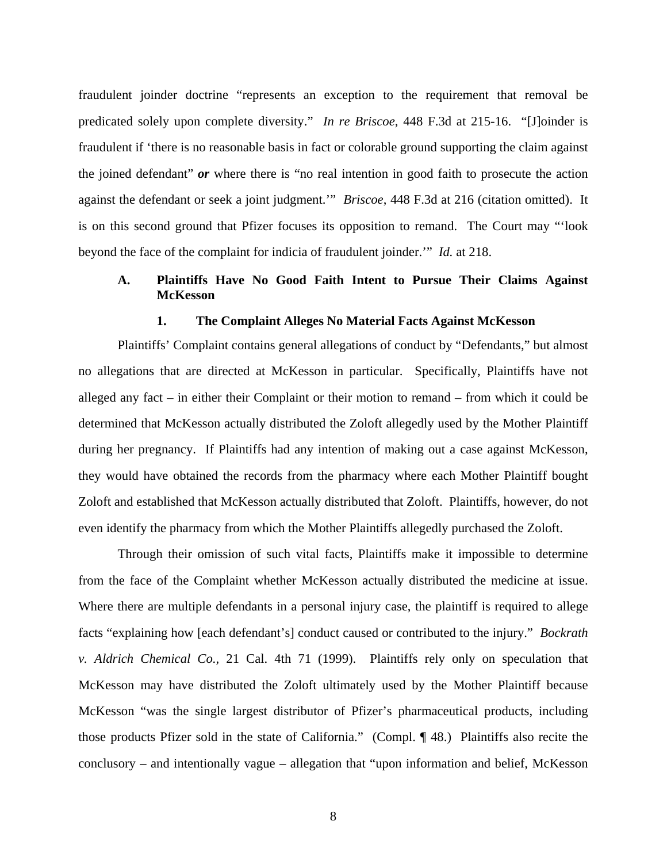fraudulent joinder doctrine "represents an exception to the requirement that removal be predicated solely upon complete diversity." *In re Briscoe*, 448 F.3d at 215-16. "[J]oinder is fraudulent if 'there is no reasonable basis in fact or colorable ground supporting the claim against the joined defendant" *or* where there is "no real intention in good faith to prosecute the action against the defendant or seek a joint judgment.'" *Briscoe*, 448 F.3d at 216 (citation omitted). It is on this second ground that Pfizer focuses its opposition to remand. The Court may "'look beyond the face of the complaint for indicia of fraudulent joinder.'" *Id.* at 218.

## **A. Plaintiffs Have No Good Faith Intent to Pursue Their Claims Against McKesson**

#### **1. The Complaint Alleges No Material Facts Against McKesson**

Plaintiffs' Complaint contains general allegations of conduct by "Defendants," but almost no allegations that are directed at McKesson in particular. Specifically, Plaintiffs have not alleged any fact – in either their Complaint or their motion to remand – from which it could be determined that McKesson actually distributed the Zoloft allegedly used by the Mother Plaintiff during her pregnancy. If Plaintiffs had any intention of making out a case against McKesson, they would have obtained the records from the pharmacy where each Mother Plaintiff bought Zoloft and established that McKesson actually distributed that Zoloft. Plaintiffs, however, do not even identify the pharmacy from which the Mother Plaintiffs allegedly purchased the Zoloft.

Through their omission of such vital facts, Plaintiffs make it impossible to determine from the face of the Complaint whether McKesson actually distributed the medicine at issue. Where there are multiple defendants in a personal injury case, the plaintiff is required to allege facts "explaining how [each defendant's] conduct caused or contributed to the injury." *Bockrath v. Aldrich Chemical Co.,* 21 Cal. 4th 71 (1999). Plaintiffs rely only on speculation that McKesson may have distributed the Zoloft ultimately used by the Mother Plaintiff because McKesson "was the single largest distributor of Pfizer's pharmaceutical products, including those products Pfizer sold in the state of California." (Compl. ¶ 48.) Plaintiffs also recite the conclusory – and intentionally vague – allegation that "upon information and belief, McKesson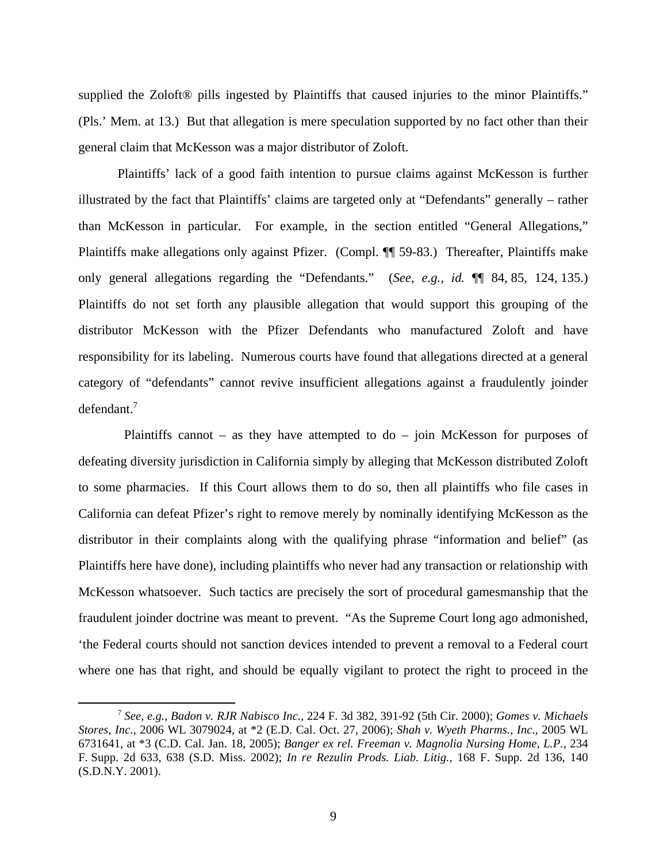supplied the Zoloft<sup>®</sup> pills ingested by Plaintiffs that caused injuries to the minor Plaintiffs." (Pls.' Mem. at 13.) But that allegation is mere speculation supported by no fact other than their general claim that McKesson was a major distributor of Zoloft.

Plaintiffs' lack of a good faith intention to pursue claims against McKesson is further illustrated by the fact that Plaintiffs' claims are targeted only at "Defendants" generally – rather than McKesson in particular. For example, in the section entitled "General Allegations," Plaintiffs make allegations only against Pfizer. (Compl. ¶ 59-83.) Thereafter, Plaintiffs make only general allegations regarding the "Defendants." (*See, e.g., id.* ¶¶ 84, 85, 124, 135.) Plaintiffs do not set forth any plausible allegation that would support this grouping of the distributor McKesson with the Pfizer Defendants who manufactured Zoloft and have responsibility for its labeling. Numerous courts have found that allegations directed at a general category of "defendants" cannot revive insufficient allegations against a fraudulently joinder defendant.7

Plaintiffs cannot – as they have attempted to  $do$  – join McKesson for purposes of defeating diversity jurisdiction in California simply by alleging that McKesson distributed Zoloft to some pharmacies. If this Court allows them to do so, then all plaintiffs who file cases in California can defeat Pfizer's right to remove merely by nominally identifying McKesson as the distributor in their complaints along with the qualifying phrase "information and belief" (as Plaintiffs here have done), including plaintiffs who never had any transaction or relationship with McKesson whatsoever. Such tactics are precisely the sort of procedural gamesmanship that the fraudulent joinder doctrine was meant to prevent. "As the Supreme Court long ago admonished, 'the Federal courts should not sanction devices intended to prevent a removal to a Federal court where one has that right, and should be equally vigilant to protect the right to proceed in the

 <sup>7</sup> *See, e.g., Badon v. RJR Nabisco Inc.,* 224 F. 3d 382, 391-92 (5th Cir. 2000); *Gomes v. Michaels Stores, Inc.*, 2006 WL 3079024, at \*2 (E.D. Cal. Oct. 27, 2006); *Shah v. Wyeth Pharms., Inc.,* 2005 WL 6731641, at \*3 (C.D. Cal. Jan. 18, 2005); *Banger ex rel. Freeman v. Magnolia Nursing Home, L.P.,* 234 F. Supp. 2d 633, 638 (S.D. Miss. 2002); *In re Rezulin Prods. Liab. Litig.,* 168 F. Supp. 2d 136, 140 (S.D.N.Y. 2001).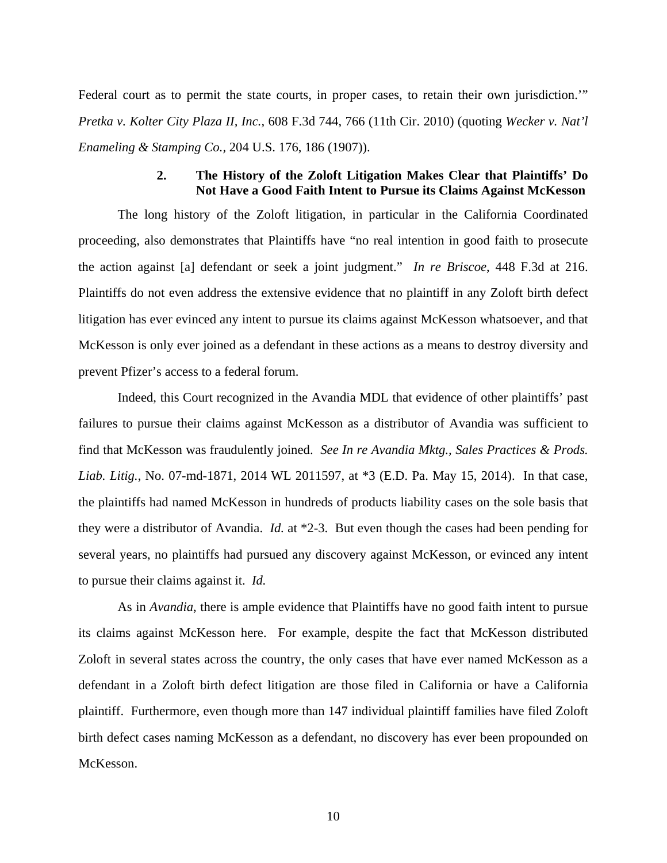Federal court as to permit the state courts, in proper cases, to retain their own jurisdiction." *Pretka v. Kolter City Plaza II, Inc.,* 608 F.3d 744, 766 (11th Cir. 2010) (quoting *Wecker v. Nat'l Enameling & Stamping Co.,* 204 U.S. 176, 186 (1907)). 

### **2. The History of the Zoloft Litigation Makes Clear that Plaintiffs' Do Not Have a Good Faith Intent to Pursue its Claims Against McKesson**

The long history of the Zoloft litigation, in particular in the California Coordinated proceeding, also demonstrates that Plaintiffs have "no real intention in good faith to prosecute the action against [a] defendant or seek a joint judgment." *In re Briscoe*, 448 F.3d at 216. Plaintiffs do not even address the extensive evidence that no plaintiff in any Zoloft birth defect litigation has ever evinced any intent to pursue its claims against McKesson whatsoever, and that McKesson is only ever joined as a defendant in these actions as a means to destroy diversity and prevent Pfizer's access to a federal forum.

Indeed, this Court recognized in the Avandia MDL that evidence of other plaintiffs' past failures to pursue their claims against McKesson as a distributor of Avandia was sufficient to find that McKesson was fraudulently joined. *See In re Avandia Mktg., Sales Practices & Prods. Liab. Litig.*, No. 07-md-1871, 2014 WL 2011597, at \*3 (E.D. Pa. May 15, 2014). In that case, the plaintiffs had named McKesson in hundreds of products liability cases on the sole basis that they were a distributor of Avandia. *Id.* at \*2-3. But even though the cases had been pending for several years, no plaintiffs had pursued any discovery against McKesson, or evinced any intent to pursue their claims against it. *Id.*

As in *Avandia*, there is ample evidence that Plaintiffs have no good faith intent to pursue its claims against McKesson here. For example, despite the fact that McKesson distributed Zoloft in several states across the country, the only cases that have ever named McKesson as a defendant in a Zoloft birth defect litigation are those filed in California or have a California plaintiff. Furthermore, even though more than 147 individual plaintiff families have filed Zoloft birth defect cases naming McKesson as a defendant, no discovery has ever been propounded on McKesson.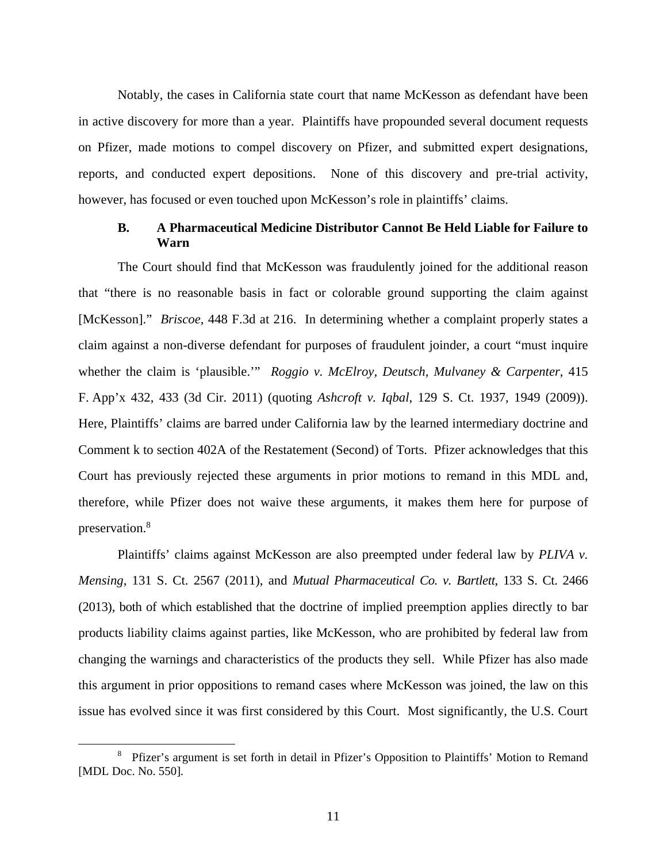Notably, the cases in California state court that name McKesson as defendant have been in active discovery for more than a year. Plaintiffs have propounded several document requests on Pfizer, made motions to compel discovery on Pfizer, and submitted expert designations, reports, and conducted expert depositions. None of this discovery and pre-trial activity, however, has focused or even touched upon McKesson's role in plaintiffs' claims.

### **B. A Pharmaceutical Medicine Distributor Cannot Be Held Liable for Failure to Warn**

The Court should find that McKesson was fraudulently joined for the additional reason that "there is no reasonable basis in fact or colorable ground supporting the claim against [McKesson]." *Briscoe*, 448 F.3d at 216. In determining whether a complaint properly states a claim against a non-diverse defendant for purposes of fraudulent joinder, a court "must inquire whether the claim is 'plausible.'" *Roggio v. McElroy, Deutsch, Mulvaney & Carpenter*, 415 F. App'x 432, 433 (3d Cir. 2011) (quoting *Ashcroft v. Iqbal*, 129 S. Ct. 1937, 1949 (2009)). Here, Plaintiffs' claims are barred under California law by the learned intermediary doctrine and Comment k to section 402A of the Restatement (Second) of Torts. Pfizer acknowledges that this Court has previously rejected these arguments in prior motions to remand in this MDL and, therefore, while Pfizer does not waive these arguments, it makes them here for purpose of preservation.<sup>8</sup>

Plaintiffs' claims against McKesson are also preempted under federal law by *PLIVA v. Mensing*, 131 S. Ct. 2567 (2011), and *Mutual Pharmaceutical Co. v. Bartlett*, 133 S. Ct. 2466 (2013), both of which established that the doctrine of implied preemption applies directly to bar products liability claims against parties, like McKesson, who are prohibited by federal law from changing the warnings and characteristics of the products they sell. While Pfizer has also made this argument in prior oppositions to remand cases where McKesson was joined, the law on this issue has evolved since it was first considered by this Court. Most significantly, the U.S. Court

 <sup>8</sup> <sup>8</sup> Pfizer's argument is set forth in detail in Pfizer's Opposition to Plaintiffs' Motion to Remand [MDL Doc. No. 550].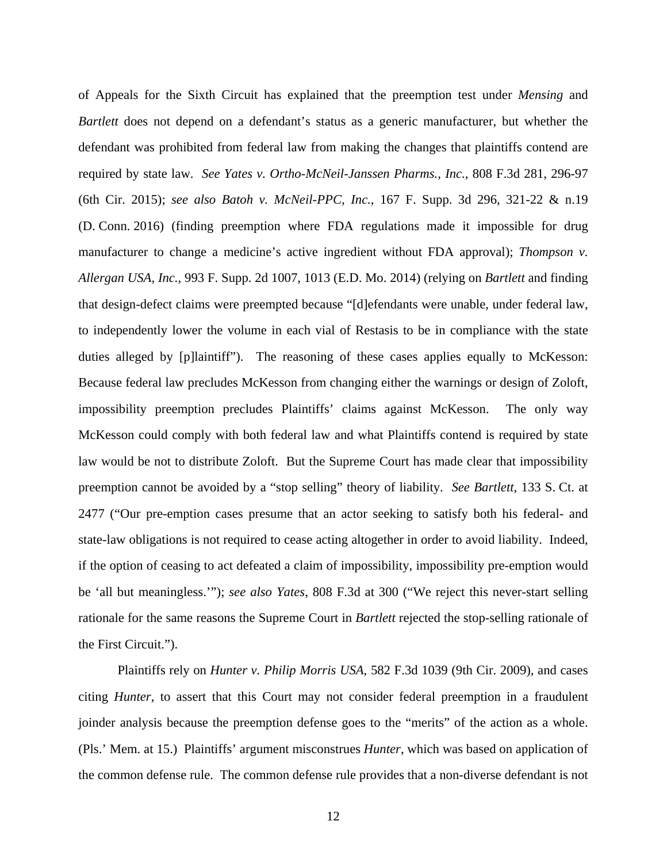of Appeals for the Sixth Circuit has explained that the preemption test under *Mensing* and *Bartlett* does not depend on a defendant's status as a generic manufacturer, but whether the defendant was prohibited from federal law from making the changes that plaintiffs contend are required by state law. *See Yates v. Ortho-McNeil-Janssen Pharms., Inc.*, 808 F.3d 281, 296-97 (6th Cir. 2015); *see also Batoh v. McNeil-PPC, Inc.*, 167 F. Supp. 3d 296, 321-22 & n.19 (D. Conn. 2016) (finding preemption where FDA regulations made it impossible for drug manufacturer to change a medicine's active ingredient without FDA approval); *Thompson v. Allergan USA, Inc.*, 993 F. Supp. 2d 1007, 1013 (E.D. Mo. 2014) (relying on *Bartlett* and finding that design-defect claims were preempted because "[d]efendants were unable, under federal law, to independently lower the volume in each vial of Restasis to be in compliance with the state duties alleged by [p]laintiff"). The reasoning of these cases applies equally to McKesson: Because federal law precludes McKesson from changing either the warnings or design of Zoloft, impossibility preemption precludes Plaintiffs' claims against McKesson. The only way McKesson could comply with both federal law and what Plaintiffs contend is required by state law would be not to distribute Zoloft. But the Supreme Court has made clear that impossibility preemption cannot be avoided by a "stop selling" theory of liability. *See Bartlett*, 133 S. Ct. at 2477 ("Our pre-emption cases presume that an actor seeking to satisfy both his federal- and state-law obligations is not required to cease acting altogether in order to avoid liability. Indeed, if the option of ceasing to act defeated a claim of impossibility, impossibility pre-emption would be 'all but meaningless.'"); *see also Yates*, 808 F.3d at 300 ("We reject this never-start selling rationale for the same reasons the Supreme Court in *Bartlett* rejected the stop-selling rationale of the First Circuit.").

Plaintiffs rely on *Hunter v. Philip Morris USA*, 582 F.3d 1039 (9th Cir. 2009), and cases citing *Hunter*, to assert that this Court may not consider federal preemption in a fraudulent joinder analysis because the preemption defense goes to the "merits" of the action as a whole. (Pls.' Mem. at 15.) Plaintiffs' argument misconstrues *Hunter*, which was based on application of the common defense rule. The common defense rule provides that a non-diverse defendant is not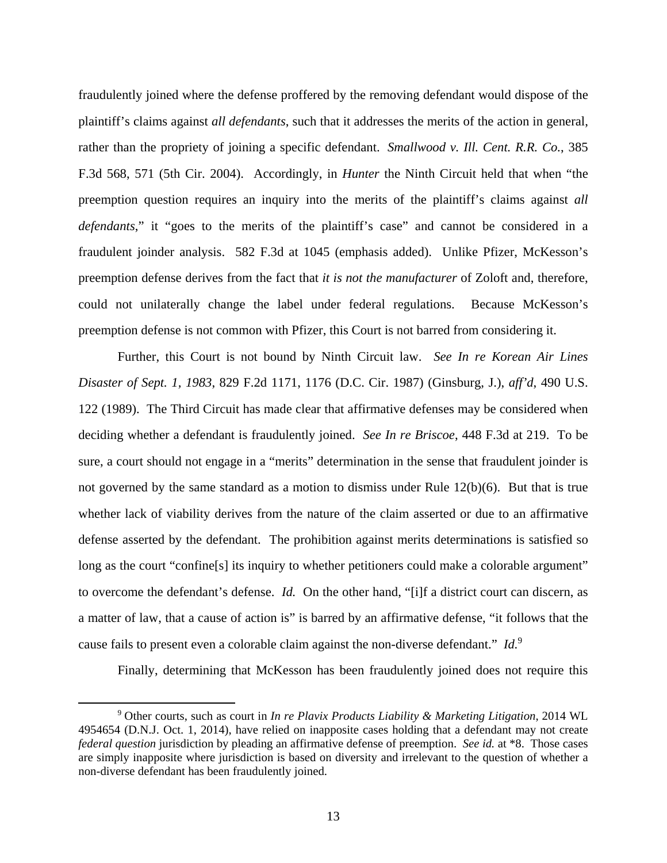fraudulently joined where the defense proffered by the removing defendant would dispose of the plaintiff's claims against *all defendants*, such that it addresses the merits of the action in general, rather than the propriety of joining a specific defendant. *Smallwood v. Ill. Cent. R.R. Co.*, 385 F.3d 568, 571 (5th Cir. 2004). Accordingly, in *Hunter* the Ninth Circuit held that when "the preemption question requires an inquiry into the merits of the plaintiff's claims against *all defendants*," it "goes to the merits of the plaintiff's case" and cannot be considered in a fraudulent joinder analysis. 582 F.3d at 1045 (emphasis added). Unlike Pfizer, McKesson's preemption defense derives from the fact that *it is not the manufacturer* of Zoloft and, therefore, could not unilaterally change the label under federal regulations. Because McKesson's preemption defense is not common with Pfizer, this Court is not barred from considering it.

Further, this Court is not bound by Ninth Circuit law. *See In re Korean Air Lines Disaster of Sept. 1, 1983*, 829 F.2d 1171, 1176 (D.C. Cir. 1987) (Ginsburg, J.), *aff'd*, 490 U.S. 122 (1989). The Third Circuit has made clear that affirmative defenses may be considered when deciding whether a defendant is fraudulently joined. *See In re Briscoe*, 448 F.3d at 219. To be sure, a court should not engage in a "merits" determination in the sense that fraudulent joinder is not governed by the same standard as a motion to dismiss under Rule 12(b)(6). But that is true whether lack of viability derives from the nature of the claim asserted or due to an affirmative defense asserted by the defendant. The prohibition against merits determinations is satisfied so long as the court "confine[s] its inquiry to whether petitioners could make a colorable argument" to overcome the defendant's defense. *Id.* On the other hand, "[i]f a district court can discern, as a matter of law, that a cause of action is" is barred by an affirmative defense, "it follows that the cause fails to present even a colorable claim against the non-diverse defendant." *Id.*<sup>9</sup>

Finally, determining that McKesson has been fraudulently joined does not require this

 <sup>9</sup> Other courts, such as court in *In re Plavix Products Liability & Marketing Litigation*, 2014 WL 4954654 (D.N.J. Oct. 1, 2014), have relied on inapposite cases holding that a defendant may not create *federal question* jurisdiction by pleading an affirmative defense of preemption. *See id.* at \*8. Those cases are simply inapposite where jurisdiction is based on diversity and irrelevant to the question of whether a non-diverse defendant has been fraudulently joined.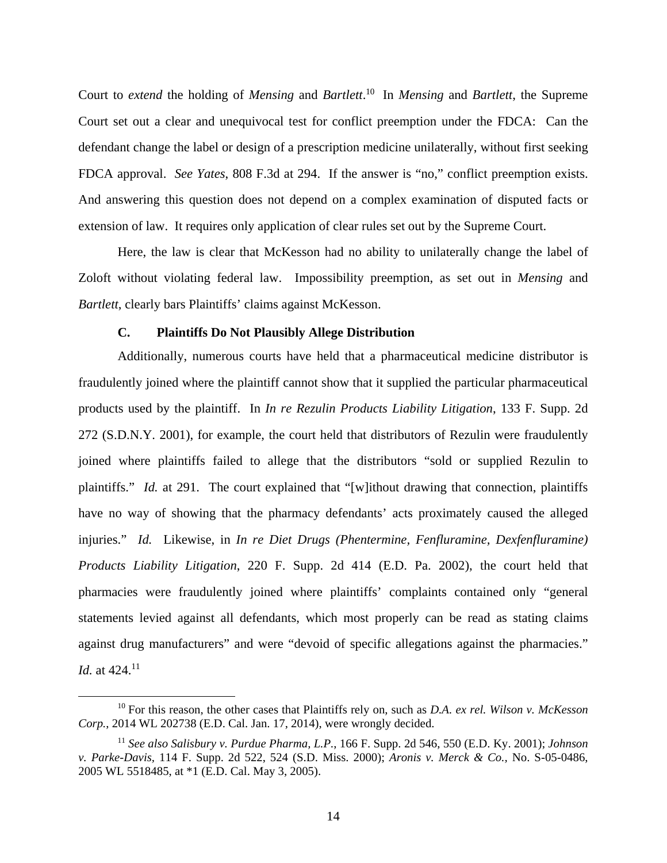Court to *extend* the holding of *Mensing* and *Bartlett*. 10 In *Mensing* and *Bartlett*, the Supreme Court set out a clear and unequivocal test for conflict preemption under the FDCA: Can the defendant change the label or design of a prescription medicine unilaterally, without first seeking FDCA approval. *See Yates*, 808 F.3d at 294. If the answer is "no," conflict preemption exists. And answering this question does not depend on a complex examination of disputed facts or extension of law. It requires only application of clear rules set out by the Supreme Court.

Here, the law is clear that McKesson had no ability to unilaterally change the label of Zoloft without violating federal law. Impossibility preemption, as set out in *Mensing* and *Bartlett*, clearly bars Plaintiffs' claims against McKesson.

### **C. Plaintiffs Do Not Plausibly Allege Distribution**

Additionally, numerous courts have held that a pharmaceutical medicine distributor is fraudulently joined where the plaintiff cannot show that it supplied the particular pharmaceutical products used by the plaintiff. In *In re Rezulin Products Liability Litigation*, 133 F. Supp. 2d 272 (S.D.N.Y. 2001), for example, the court held that distributors of Rezulin were fraudulently joined where plaintiffs failed to allege that the distributors "sold or supplied Rezulin to plaintiffs." *Id.* at 291. The court explained that "[w]ithout drawing that connection, plaintiffs have no way of showing that the pharmacy defendants' acts proximately caused the alleged injuries." *Id.* Likewise, in *In re Diet Drugs (Phentermine, Fenfluramine, Dexfenfluramine) Products Liability Litigation*, 220 F. Supp. 2d 414 (E.D. Pa. 2002), the court held that pharmacies were fraudulently joined where plaintiffs' complaints contained only "general statements levied against all defendants, which most properly can be read as stating claims against drug manufacturers" and were "devoid of specific allegations against the pharmacies." *Id.* at 424.<sup>11</sup>

 <sup>10</sup> For this reason, the other cases that Plaintiffs rely on, such as *D.A. ex rel. Wilson v. McKesson Corp.*, 2014 WL 202738 (E.D. Cal. Jan. 17, 2014), were wrongly decided.

<sup>11</sup> *See also Salisbury v. Purdue Pharma, L.P.*, 166 F. Supp. 2d 546, 550 (E.D. Ky. 2001); *Johnson v. Parke-Davis,* 114 F. Supp. 2d 522, 524 (S.D. Miss. 2000); *Aronis v. Merck & Co.,* No. S-05-0486, 2005 WL 5518485, at \*1 (E.D. Cal. May 3, 2005).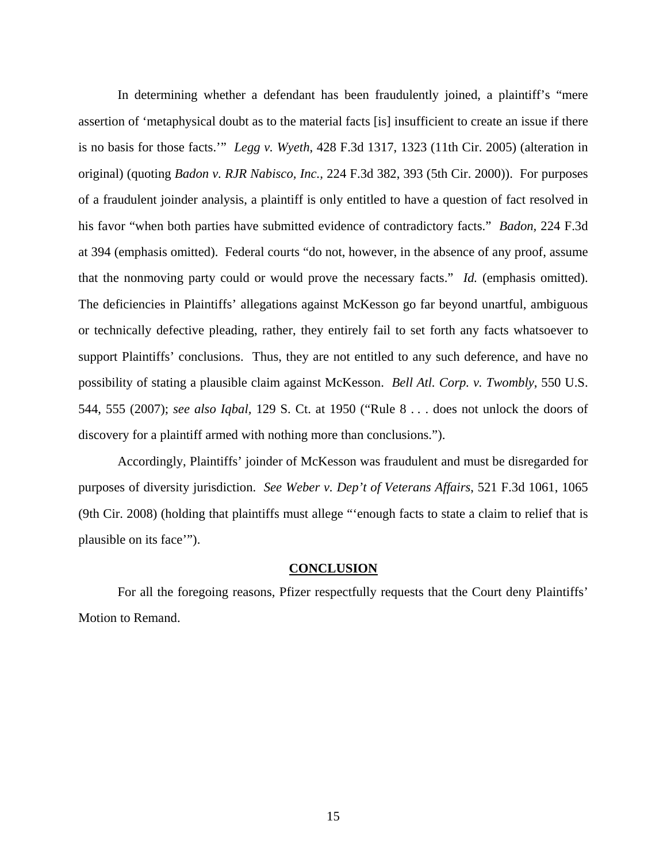In determining whether a defendant has been fraudulently joined, a plaintiff's "mere assertion of 'metaphysical doubt as to the material facts [is] insufficient to create an issue if there is no basis for those facts.'" *Legg v. Wyeth*, 428 F.3d 1317, 1323 (11th Cir. 2005) (alteration in original) (quoting *Badon v. RJR Nabisco, Inc.,* 224 F.3d 382, 393 (5th Cir. 2000)). For purposes of a fraudulent joinder analysis, a plaintiff is only entitled to have a question of fact resolved in his favor "when both parties have submitted evidence of contradictory facts." *Badon,* 224 F.3d at 394 (emphasis omitted). Federal courts "do not, however, in the absence of any proof, assume that the nonmoving party could or would prove the necessary facts." *Id.* (emphasis omitted). The deficiencies in Plaintiffs' allegations against McKesson go far beyond unartful, ambiguous or technically defective pleading, rather, they entirely fail to set forth any facts whatsoever to support Plaintiffs' conclusions. Thus, they are not entitled to any such deference, and have no possibility of stating a plausible claim against McKesson. *Bell Atl. Corp. v. Twombly*, 550 U.S. 544, 555 (2007); *see also Iqbal,* 129 S. Ct. at 1950 ("Rule 8 . . . does not unlock the doors of discovery for a plaintiff armed with nothing more than conclusions.").

Accordingly, Plaintiffs' joinder of McKesson was fraudulent and must be disregarded for purposes of diversity jurisdiction. *See Weber v. Dep't of Veterans Affairs*, 521 F.3d 1061, 1065 (9th Cir. 2008) (holding that plaintiffs must allege "'enough facts to state a claim to relief that is plausible on its face'").

#### **CONCLUSION**

For all the foregoing reasons, Pfizer respectfully requests that the Court deny Plaintiffs' Motion to Remand.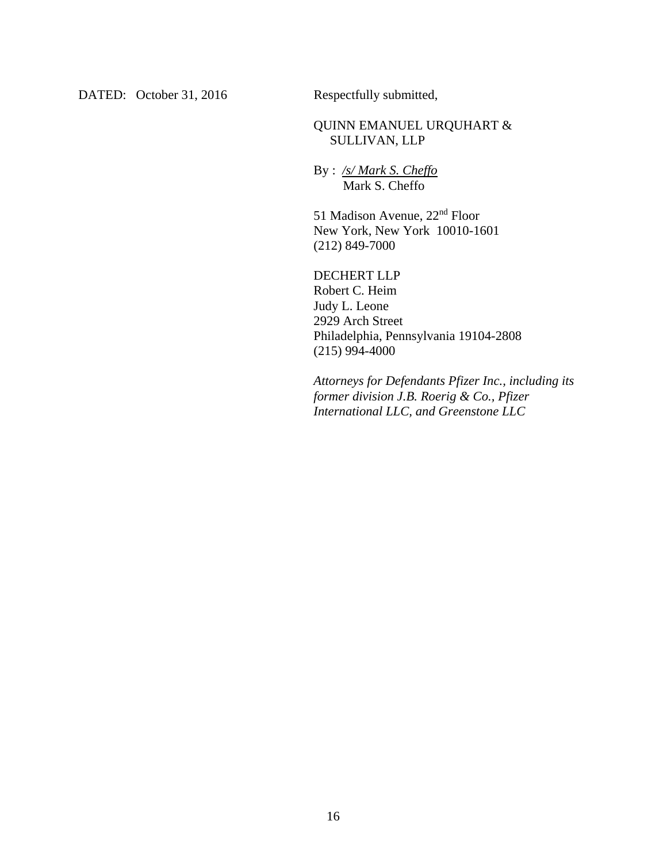DATED: October 31, 2016 Respectfully submitted,

## QUINN EMANUEL URQUHART & SULLIVAN, LLP

By : */s/ Mark S. Cheffo*  Mark S. Cheffo

51 Madison Avenue, 22nd Floor New York, New York 10010-1601 (212) 849-7000

DECHERT LLP Robert C. Heim Judy L. Leone 2929 Arch Street Philadelphia, Pennsylvania 19104-2808  $(215)$  994-4000

*Attorneys for Defendants Pfizer Inc., including its former division J.B. Roerig & Co., Pfizer International LLC, and Greenstone LLC*